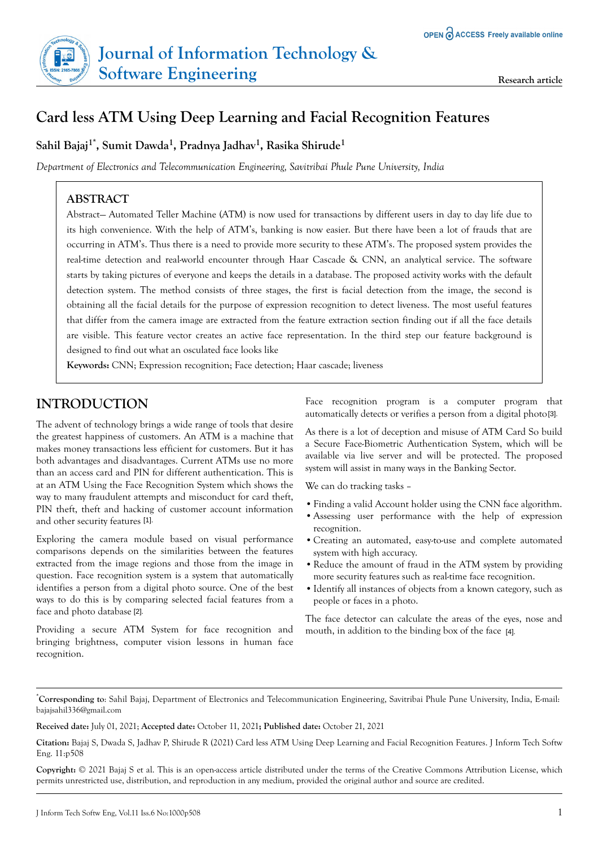# **Card less ATM Using Deep Learning and Facial Recognition Features**

## **Sahil Bajaj1\*, Sumit Dawda<sup>1</sup> , Pradnya Jadhav<sup>1</sup> , Rasika Shirude<sup>1</sup>**

*Department of Electronics and Telecommunication Engineering, Savitribai Phule Pune University, India*

## **ABSTRACT**

Abstract— Automated Teller Machine (ATM) is now used for transactions by different users in day to day life due to its high convenience. With the help of ATM's, banking is now easier. But there have been a lot of frauds that are occurring in ATM's. Thus there is a need to provide more security to these ATM's. The proposed system provides the real-time detection and real-world encounter through Haar Cascade & CNN, an analytical service. The software starts by taking pictures of everyone and keeps the details in a database. The proposed activity works with the default detection system. The method consists of three stages, the first is facial detection from the image, the second is obtaining all the facial details for the purpose of expression recognition to detect liveness. The most useful features that differ from the camera image are extracted from the feature extraction section finding out if all the face details are visible. This feature vector creates an active face representation. In the third step our feature background is designed to find out what an osculated face looks like

**Keywords:** CNN; Expression recognition; Face detection; Haar cascade; liveness

## **INTRODUCTION**

The advent of technology brings a wide range of tools that desire the greatest happiness of customers. An ATM is a machine that makes money transactions less efficient for customers. But it has both advantages and disadvantages. Current ATMs use no more than an access card and PIN for different authentication. This is at an ATM Using the Face Recognition System which shows the way to many fraudulent attempts and misconduct for card theft, PIN theft, theft and hacking of customer account information and other security features [1].

Exploring the camera module based on visual performance comparisons depends on the similarities between the features extracted from the image regions and those from the image in question. Face recognition system is a system that automatically identifies a person from a digital photo source. One of the best ways to do this is by comparing selected facial features from a face and photo database [2].

Providing a secure ATM System for face recognition and bringing brightness, computer vision lessons in human face recognition.

Face recognition program is a computer program that automatically detects or verifies a person from a digital photo [3].

As there is a lot of deception and misuse of ATM Card So build a Secure Face-Biometric Authentication System, which will be available via live server and will be protected. The proposed system will assist in many ways in the Banking Sector.

We can do tracking tasks –

- **•**Finding a valid Account holder using the CNN face algorithm.
- **•**Assessing user performance with the help of expression recognition.
- **•**Creating an automated, easy-to-use and complete automated system with high accuracy.
- Reduce the amount of fraud in the ATM system by providing more security features such as real-time face recognition.
- **•**Identify all instances of objects from a known category, such as people or faces in a photo.

The face detector can calculate the areas of the eyes, nose and mouth, in addition to the binding box of the face [4].

\***Corresponding to**: Sahil Bajaj, Department of Electronics and Telecommunication Engineering, Savitribai Phule Pune University, India, E-mail: [bajajsahil336@gmail.com](mailto:bajajsahil336@gmail.com)

**Received date:** July 01, 2021; **Accepted date:** October 11, 2021**; Published date:** October 21, 2021

**Copyright:** © 2021 Bajaj S et al. This is an open-access article distributed under the terms of the Creative Commons Attribution License, which permits unrestricted use, distribution, and reproduction in any medium, provided the original author and source are credited.

**Citation:** Bajaj S, Dwada S, Jadhav P, Shirude R (2021) Card less ATM Using Deep Learning and Facial Recognition Features. J Inform Tech Softw Eng. 11:p508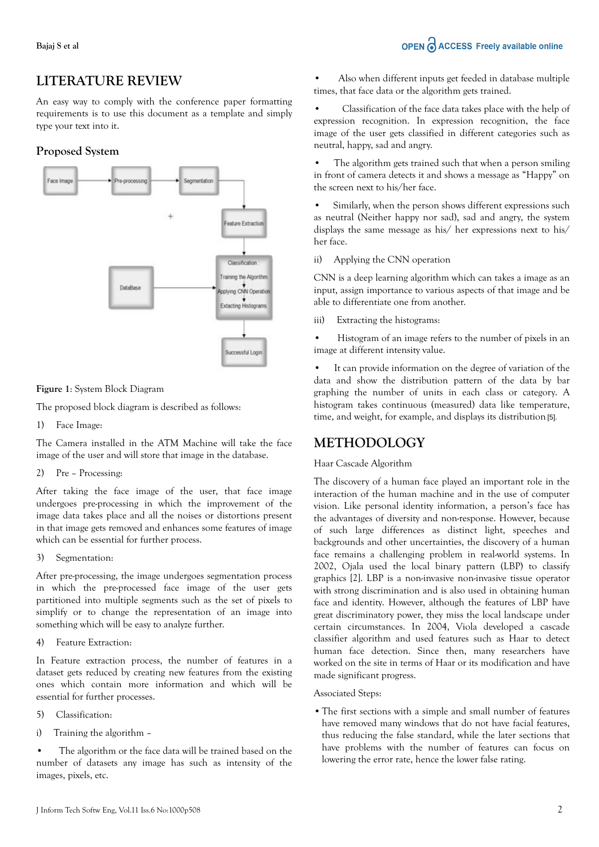## **LITERATURE REVIEW**

An easy way to comply with the conference paper formatting requirements is to use this document as a template and simply type your text into it.

### **Proposed System**



**Figure 1**: System Block Diagram

The proposed block diagram is described as follows:

1) Face Image:

The Camera installed in the ATM Machine will take the face image of the user and will store that image in the database.

2) Pre – Processing:

After taking the face image of the user, that face image undergoes pre-processing in which the improvement of the image data takes place and all the noises or distortions present in that image gets removed and enhances some features of image which can be essential for further process.

3) Segmentation:

After pre-processing, the image undergoes segmentation process in which the pre-processed face image of the user gets partitioned into multiple segments such as the set of pixels to simplify or to change the representation of an image into something which will be easy to analyze further.

4) Feature Extraction:

In Feature extraction process, the number of features in a dataset gets reduced by creating new features from the existing ones which contain more information and which will be essential for further processes.

- 5) Classification:
- i) Training the algorithm –

The algorithm or the face data will be trained based on the number of datasets any image has such as intensity of the images, pixels, etc.

• Also when different inputs get feeded in database multiple times, that face data or the algorithm gets trained.

• Classification of the face data takes place with the help of expression recognition. In expression recognition, the face image of the user gets classified in different categories such as neutral, happy, sad and angry.

• The algorithm gets trained such that when a person smiling in front of camera detects it and shows a message as "Happy" on the screen next to his/her face.

• Similarly, when the person shows different expressions such as neutral (Neither happy nor sad), sad and angry, the system displays the same message as his/ her expressions next to his/ her face.

ii) Applying the CNN operation

CNN is a deep learning algorithm which can takes a image as an input, assign importance to various aspects of that image and be able to differentiate one from another.

iii) Extracting the histograms:

• Histogram of an image refers to the number of pixels in an image at different intensity value.

• It can provide information on the degree of variation of the data and show the distribution pattern of the data by bar graphing the number of units in each class or category. A histogram takes continuous (measured) data like temperature, time, and weight, for example, and displays its distribution [5].

## **METHODOLOGY**

#### Haar Cascade Algorithm

The discovery of a human face played an important role in the interaction of the human machine and in the use of computer vision. Like personal identity information, a person's face has the advantages of diversity and non-response. However, because of such large differences as distinct light, speeches and backgrounds and other uncertainties, the discovery of a human face remains a challenging problem in real-world systems. In 2002, Ojala used the local binary pattern (LBP) to classify graphics [2]. LBP is a non-invasive non-invasive tissue operator with strong discrimination and is also used in obtaining human face and identity. However, although the features of LBP have great discriminatory power, they miss the local landscape under certain circumstances. In 2004, Viola developed a cascade classifier algorithm and used features such as Haar to detect human face detection. Since then, many researchers have worked on the site in terms of Haar or its modification and have made significant progress.

#### Associated Steps:

**•**The first sections with a simple and small number of features have removed many windows that do not have facial features, thus reducing the false standard, while the later sections that have problems with the number of features can focus on lowering the error rate, hence the lower false rating.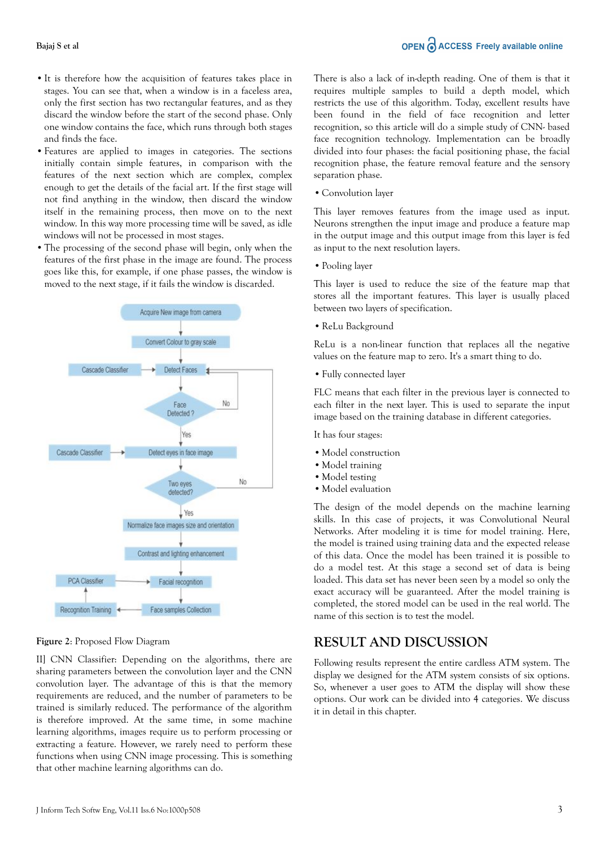- **•**It is therefore how the acquisition of features takes place in stages. You can see that, when a window is in a faceless area, only the first section has two rectangular features, and as they discard the window before the start of the second phase. Only one window contains the face, which runs through both stages and finds the face.
- **•**Features are applied to images in categories. The sections initially contain simple features, in comparison with the features of the next section which are complex, complex enough to get the details of the facial art. If the first stage will not find anything in the window, then discard the window itself in the remaining process, then move on to the next window. In this way more processing time will be saved, as idle windows will not be processed in most stages.
- **•**The processing of the second phase will begin, only when the features of the first phase in the image are found. The process goes like this, for example, if one phase passes, the window is moved to the next stage, if it fails the window is discarded.



#### **Figure 2**: Proposed Flow Diagram

II] CNN Classifier: Depending on the algorithms, there are sharing parameters between the convolution layer and the CNN convolution layer. The advantage of this is that the memory requirements are reduced, and the number of parameters to be trained is similarly reduced. The performance of the algorithm is therefore improved. At the same time, in some machine learning algorithms, images require us to perform processing or extracting a feature. However, we rarely need to perform these functions when using CNN image processing. This is something that other machine learning algorithms can do.

There is also a lack of in-depth reading. One of them is that it requires multiple samples to build a depth model, which restricts the use of this algorithm. Today, excellent results have been found in the field of face recognition and letter recognition, so this article will do a simple study of CNN- based face recognition technology. Implementation can be broadly divided into four phases: the facial positioning phase, the facial recognition phase, the feature removal feature and the sensory separation phase.

**•**Convolution layer

This layer removes features from the image used as input. Neurons strengthen the input image and produce a feature map in the output image and this output image from this layer is fed as input to the next resolution layers.

**•**Pooling layer

This layer is used to reduce the size of the feature map that stores all the important features. This layer is usually placed between two layers of specification.

**•**ReLu Background

ReLu is a non-linear function that replaces all the negative values on the feature map to zero. It's a smart thing to do.

**•**Fully connected layer

FLC means that each filter in the previous layer is connected to each filter in the next layer. This is used to separate the input image based on the training database in different categories.

It has four stages:

- **•**Model construction
- Model training
- **•**Model testing
- **•**Model evaluation

The design of the model depends on the machine learning skills. In this case of projects, it was Convolutional Neural Networks. After modeling it is time for model training. Here, the model is trained using training data and the expected release of this data. Once the model has been trained it is possible to do a model test. At this stage a second set of data is being loaded. This data set has never been seen by a model so only the exact accuracy will be guaranteed. After the model training is completed, the stored model can be used in the real world. The name of this section is to test the model.

## **RESULT AND DISCUSSION**

Following results represent the entire cardless ATM system. The display we designed for the ATM system consists of six options. So, whenever a user goes to ATM the display will show these options. Our work can be divided into 4 categories. We discuss it in detail in this chapter.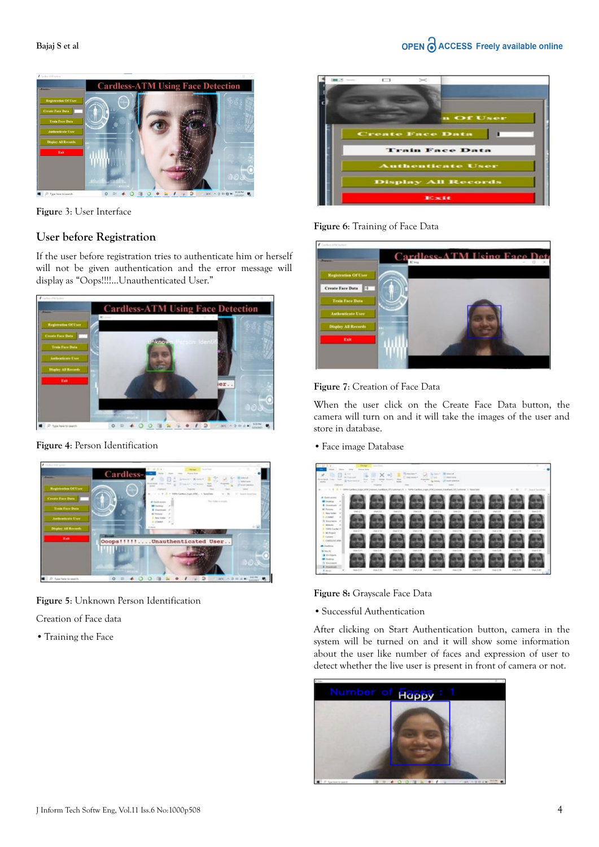

**Figur**e 3: User Interface

## **User before Registration**

If the user before registration tries to authenticate him or herself will not be given authentication and the error message will display as "Oops!!!!...Unauthenticated User."



**Figure 4**: Person Identification



**Figure 5**: Unknown Person Identification

Creation of Face data

**•**Training the Face



### **Figure 6**: Training of Face Data





When the user click on the Create Face Data button, the camera will turn on and it will take the images of the user and store in database.

**•**Face image Database

| s<br>-<br>No de labora. Tousan - Paulo<br><b>Home</b>                                                       | 2.54<br>By Supporter<br>The party<br>٠                  | ×<br><b>There</b><br><b>START</b><br>and Louis<br>w. | $\rightarrow$<br><b>Box</b><br><b>Bill and</b><br><b>Scott</b> | B)<br>55 Now box 7<br>Total domain<br><b><i><u>Rigardian</u></i></b> | Science Pr<br>$-$<br>Car - Belleville | Witness of<br>present bearing<br>(27 leveles principals)                                                                                                                                                  |            |            |                                            |                     |
|-------------------------------------------------------------------------------------------------------------|---------------------------------------------------------|------------------------------------------------------|----------------------------------------------------------------|----------------------------------------------------------------------|---------------------------------------|-----------------------------------------------------------------------------------------------------------------------------------------------------------------------------------------------------------|------------|------------|--------------------------------------------|---------------------|
| <b>CONTRACT</b><br>49.000.000<br>$\sim$                                                                     | 1976 Cardina Liga, 874 January Technick IV Cultures (1) |                                                      | $\sim$                                                         |                                                                      |                                       | $\frac{1}{2} \left( \frac{1}{2} \right) \left( \frac{1}{2} \right) \left( \frac{1}{2} \right) \left( \frac{1}{2} \right)$<br>1970 Carline, Joseph M.M. Cassesse, Franklin L. Of Carlineaer, J. Tanix Gale |            |            | $\mathcal{L}=\mathcal{L}^{\prime}$<br>U.A. | Thank beaches       |
| # Guid-aconc<br>$\mathcal{M}^{\mathcal{G}}$<br><b>B</b> Institute<br>$-40$<br>& Institute.                  |                                                         |                                                      |                                                                |                                                                      |                                       |                                                                                                                                                                                                           |            |            |                                            |                     |
| $\sim$<br><b>All: Factored</b><br>$-80$<br>L. Anal future<br>5 couses<br>$\mathcal{L}$<br>Il Doceniquia, il | $1000 \pm 1$                                            | <b>Daniel Ave.</b>                                   | 1000233                                                        | <b>Daniel</b>                                                        | Dami & L                              | $1000$ $2.8$                                                                                                                                                                                              | tan 13     | ing 24     | Lines 2 to                                 | $l = 14$            |
| $\frac{1}{2}$<br>William<br><b>Table Cardwick</b><br><b>I</b> - M. Project<br><b>Williams</b>               | <b>Hand &amp; OX</b>                                    | UNAN & LA                                            | <b>Stern J.T.S.</b>                                            | Use 3.14                                                             | $2040 \pm 7.5$                        | Likes J. Fig.                                                                                                                                                                                             | UMALE U.S. | Use J M    | Don't life                                 | <b>Green Availa</b> |
| CANSUS AN<br>www<br>A dealers<br><b>B</b> Bacifc                                                            | <b>Week SCATE</b>                                       | 34.18                                                | 16m3.0V                                                        | 15mZ/R                                                               | $\lim E \to 0$                        | $70m \times 20$                                                                                                                                                                                           | Health 1   | 19.68      | 18ac 3.09                                  | Town 2.50           |
| <b>B</b> RF-Olympic<br><b>Mill Facultings</b><br>1. George Avenue                                           |                                                         |                                                      |                                                                |                                                                      |                                       |                                                                                                                                                                                                           |            |            |                                            |                     |
| <b>E</b> Howards<br>R. Ghosto                                                                               | tion (ETT)                                              | (240, 2, 3)                                          | 1844 Z.OT                                                      | $15$ of $-1.14$                                                      | Then, 2, 22                           | $1840 \pm 236$                                                                                                                                                                                            | 1804-2.07  | 1540, 2.78 | 1540.3.33                                  | 10413-07<br>$-1$    |

**Figure 8:** Grayscale Face Data

**•**Successful Authentication

After clicking on Start Authentication button, camera in the system will be turned on and it will show some information about the user like number of faces and expression of user to detect whether the live user is present in front of camera or not.